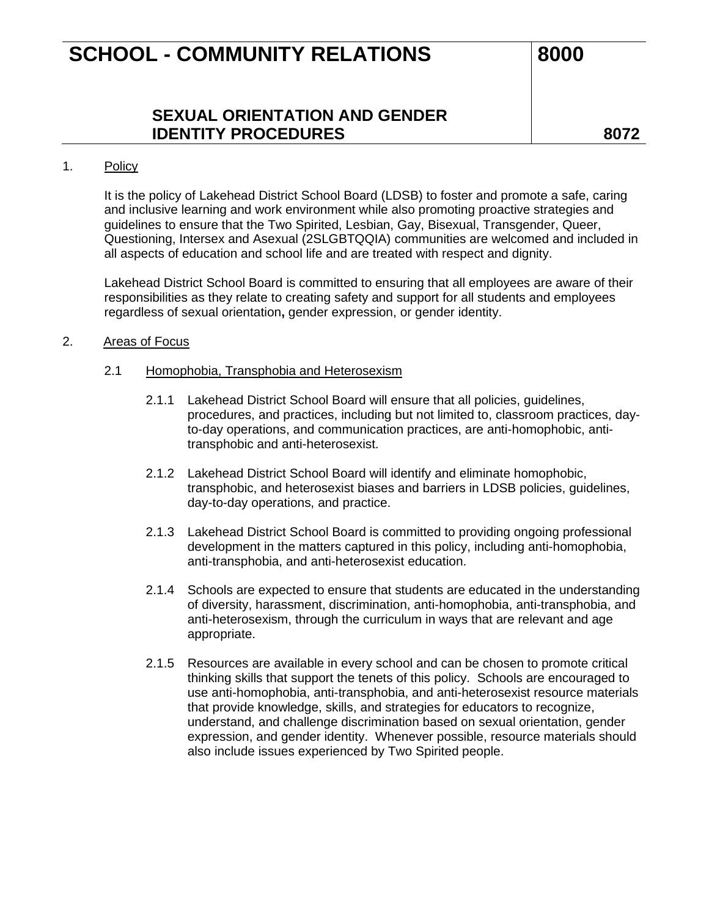### **SEXUAL ORIENTATION AND GENDER IDENTITY PROCEDURES 8072**

#### 1. Policy

It is the policy of Lakehead District School Board (LDSB) to foster and promote a safe, caring and inclusive learning and work environment while also promoting proactive strategies and guidelines to ensure that the Two Spirited, Lesbian, Gay, Bisexual, Transgender, Queer, Questioning, Intersex and Asexual (2SLGBTQQIA) communities are welcomed and included in all aspects of education and school life and are treated with respect and dignity.

Lakehead District School Board is committed to ensuring that all employees are aware of their responsibilities as they relate to creating safety and support for all students and employees regardless of sexual orientation**,** gender expression, or gender identity.

#### 2. Areas of Focus

#### 2.1 Homophobia, Transphobia and Heterosexism

- 2.1.1 Lakehead District School Board will ensure that all policies, guidelines, procedures, and practices, including but not limited to, classroom practices, dayto-day operations, and communication practices, are anti-homophobic, antitransphobic and anti-heterosexist.
- 2.1.2 Lakehead District School Board will identify and eliminate homophobic, transphobic, and heterosexist biases and barriers in LDSB policies, guidelines, day-to-day operations, and practice.
- 2.1.3 Lakehead District School Board is committed to providing ongoing professional development in the matters captured in this policy, including anti-homophobia, anti-transphobia, and anti-heterosexist education.
- 2.1.4 Schools are expected to ensure that students are educated in the understanding of diversity, harassment, discrimination, anti-homophobia, anti-transphobia, and anti-heterosexism, through the curriculum in ways that are relevant and age appropriate.
- 2.1.5 Resources are available in every school and can be chosen to promote critical thinking skills that support the tenets of this policy. Schools are encouraged to use anti-homophobia, anti-transphobia, and anti-heterosexist resource materials that provide knowledge, skills, and strategies for educators to recognize, understand, and challenge discrimination based on sexual orientation, gender expression, and gender identity. Whenever possible, resource materials should also include issues experienced by Two Spirited people.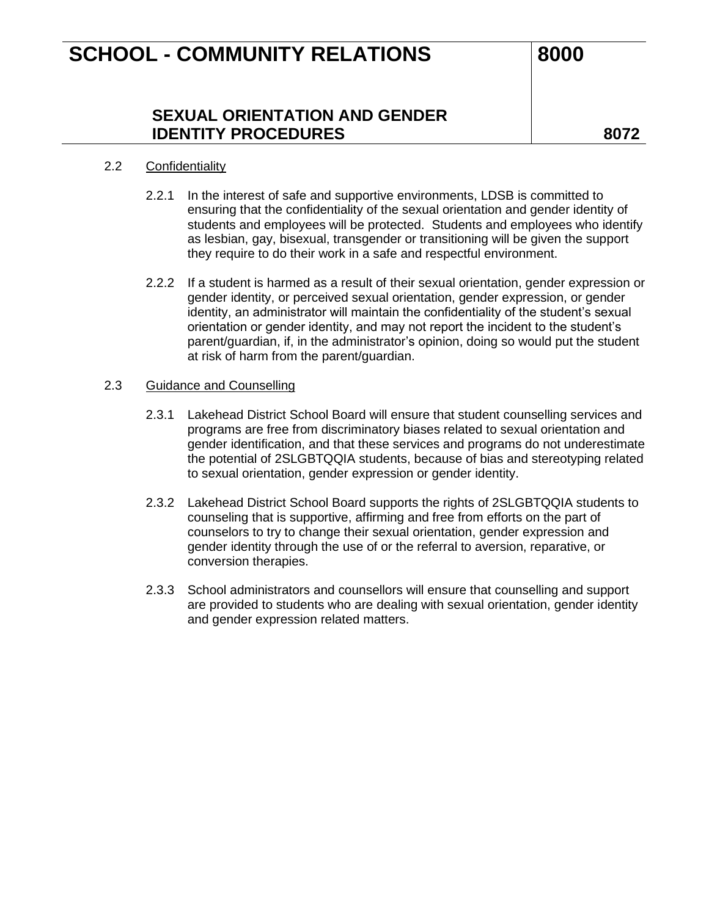### **SEXUAL ORIENTATION AND GENDER IDENTITY PROCEDURES 8072**

### 2.2 Confidentiality

- 2.2.1 In the interest of safe and supportive environments, LDSB is committed to ensuring that the confidentiality of the sexual orientation and gender identity of students and employees will be protected. Students and employees who identify as lesbian, gay, bisexual, transgender or transitioning will be given the support they require to do their work in a safe and respectful environment.
- 2.2.2 If a student is harmed as a result of their sexual orientation, gender expression or gender identity, or perceived sexual orientation, gender expression, or gender identity, an administrator will maintain the confidentiality of the student's sexual orientation or gender identity, and may not report the incident to the student's parent/guardian, if, in the administrator's opinion, doing so would put the student at risk of harm from the parent/guardian.

#### 2.3 Guidance and Counselling

- 2.3.1 Lakehead District School Board will ensure that student counselling services and programs are free from discriminatory biases related to sexual orientation and gender identification, and that these services and programs do not underestimate the potential of 2SLGBTQQIA students, because of bias and stereotyping related to sexual orientation, gender expression or gender identity.
- 2.3.2 Lakehead District School Board supports the rights of 2SLGBTQQIA students to counseling that is supportive, affirming and free from efforts on the part of counselors to try to change their sexual orientation, gender expression and gender identity through the use of or the referral to aversion, reparative, or conversion therapies.
- 2.3.3 School administrators and counsellors will ensure that counselling and support are provided to students who are dealing with sexual orientation, gender identity and gender expression related matters.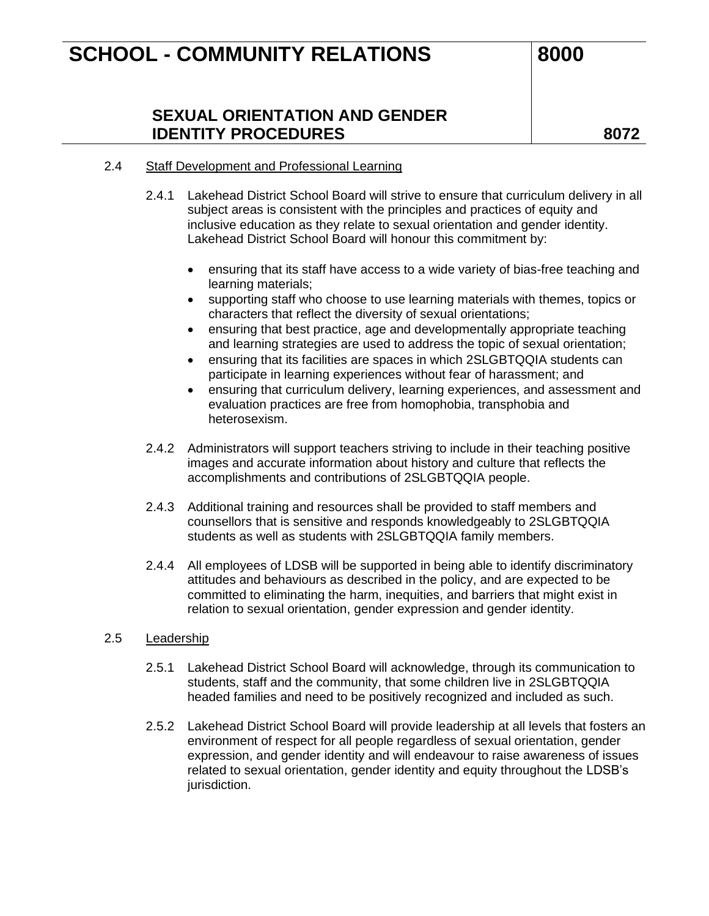## **SEXUAL ORIENTATION AND GENDER IDENTITY PROCEDURES 8072**

#### 2.4 Staff Development and Professional Learning

- 2.4.1 Lakehead District School Board will strive to ensure that curriculum delivery in all subject areas is consistent with the principles and practices of equity and inclusive education as they relate to sexual orientation and gender identity. Lakehead District School Board will honour this commitment by:
	- ensuring that its staff have access to a wide variety of bias-free teaching and learning materials;
	- supporting staff who choose to use learning materials with themes, topics or characters that reflect the diversity of sexual orientations;
	- ensuring that best practice, age and developmentally appropriate teaching and learning strategies are used to address the topic of sexual orientation;
	- ensuring that its facilities are spaces in which 2SLGBTQQIA students can participate in learning experiences without fear of harassment; and
	- ensuring that curriculum delivery, learning experiences, and assessment and evaluation practices are free from homophobia, transphobia and heterosexism.
- 2.4.2 Administrators will support teachers striving to include in their teaching positive images and accurate information about history and culture that reflects the accomplishments and contributions of 2SLGBTQQIA people.
- 2.4.3 Additional training and resources shall be provided to staff members and counsellors that is sensitive and responds knowledgeably to 2SLGBTQQIA students as well as students with 2SLGBTQQIA family members.
- 2.4.4 All employees of LDSB will be supported in being able to identify discriminatory attitudes and behaviours as described in the policy, and are expected to be committed to eliminating the harm, inequities, and barriers that might exist in relation to sexual orientation, gender expression and gender identity.

#### 2.5 Leadership

- 2.5.1 Lakehead District School Board will acknowledge, through its communication to students, staff and the community, that some children live in 2SLGBTQQIA headed families and need to be positively recognized and included as such.
- 2.5.2 Lakehead District School Board will provide leadership at all levels that fosters an environment of respect for all people regardless of sexual orientation, gender expression, and gender identity and will endeavour to raise awareness of issues related to sexual orientation, gender identity and equity throughout the LDSB's jurisdiction.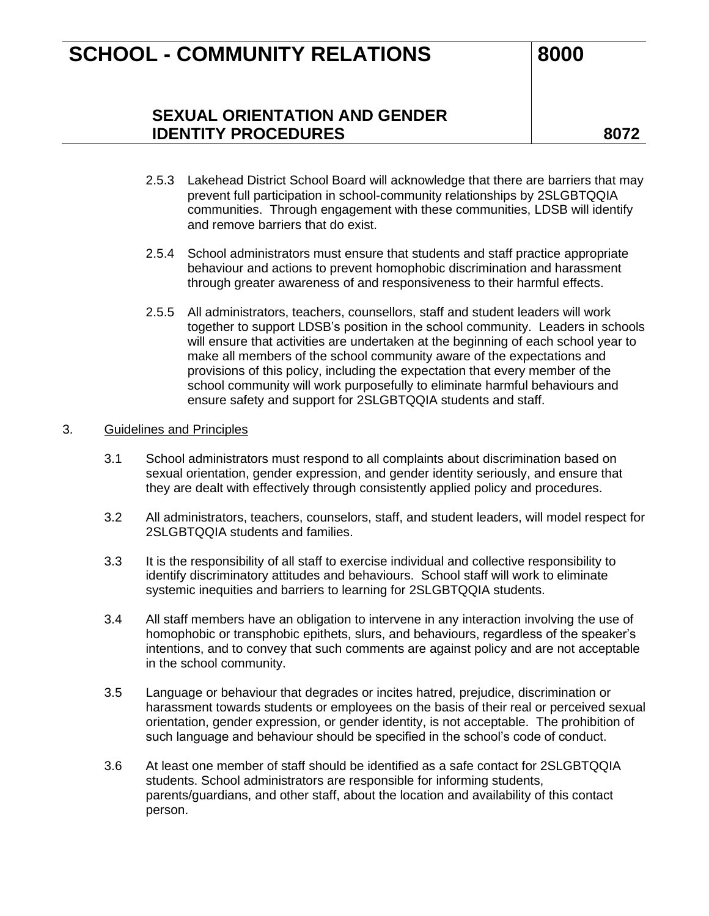## **SEXUAL ORIENTATION AND GENDER IDENTITY PROCEDURES 8072**

- 2.5.3 Lakehead District School Board will acknowledge that there are barriers that may prevent full participation in school-community relationships by 2SLGBTQQIA communities. Through engagement with these communities, LDSB will identify and remove barriers that do exist.
- 2.5.4 School administrators must ensure that students and staff practice appropriate behaviour and actions to prevent homophobic discrimination and harassment through greater awareness of and responsiveness to their harmful effects.
- 2.5.5 All administrators, teachers, counsellors, staff and student leaders will work together to support LDSB's position in the school community. Leaders in schools will ensure that activities are undertaken at the beginning of each school year to make all members of the school community aware of the expectations and provisions of this policy, including the expectation that every member of the school community will work purposefully to eliminate harmful behaviours and ensure safety and support for 2SLGBTQQIA students and staff.

#### 3. Guidelines and Principles

- 3.1 School administrators must respond to all complaints about discrimination based on sexual orientation, gender expression, and gender identity seriously, and ensure that they are dealt with effectively through consistently applied policy and procedures.
- 3.2 All administrators, teachers, counselors, staff, and student leaders, will model respect for 2SLGBTQQIA students and families.
- 3.3 It is the responsibility of all staff to exercise individual and collective responsibility to identify discriminatory attitudes and behaviours. School staff will work to eliminate systemic inequities and barriers to learning for 2SLGBTQQIA students.
- 3.4 All staff members have an obligation to intervene in any interaction involving the use of homophobic or transphobic epithets, slurs, and behaviours, regardless of the speaker's intentions, and to convey that such comments are against policy and are not acceptable in the school community.
- 3.5 Language or behaviour that degrades or incites hatred, prejudice, discrimination or harassment towards students or employees on the basis of their real or perceived sexual orientation, gender expression, or gender identity, is not acceptable. The prohibition of such language and behaviour should be specified in the school's code of conduct.
- 3.6 At least one member of staff should be identified as a safe contact for 2SLGBTQQIA students. School administrators are responsible for informing students, parents/guardians, and other staff, about the location and availability of this contact person.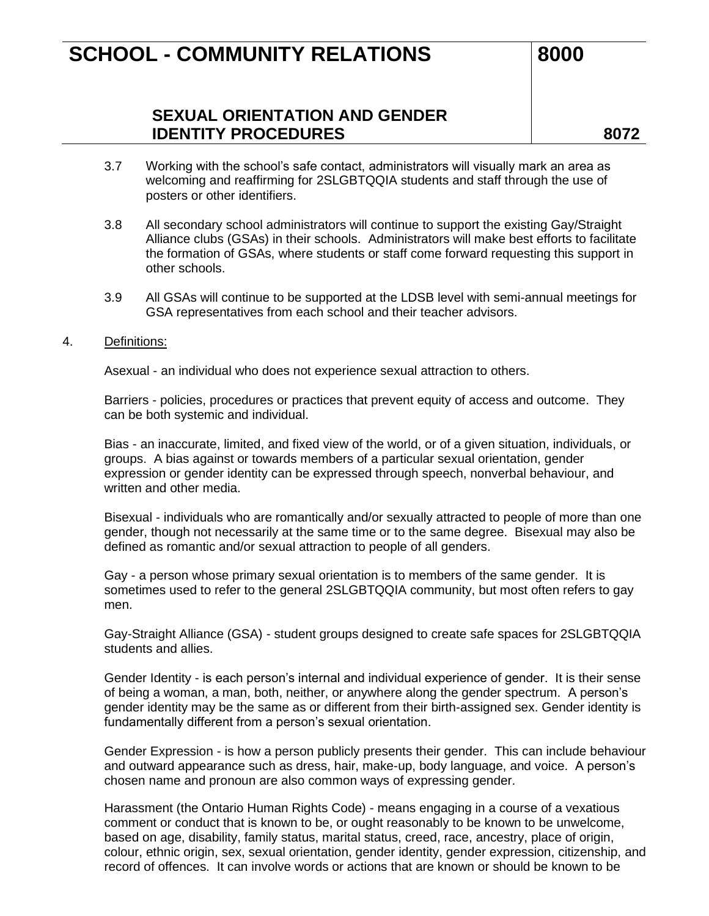## **SEXUAL ORIENTATION AND GENDER IDENTITY PROCEDURES 8072**

- 3.7 Working with the school's safe contact, administrators will visually mark an area as welcoming and reaffirming for 2SLGBTQQIA students and staff through the use of posters or other identifiers.
- 3.8 All secondary school administrators will continue to support the existing Gay/Straight Alliance clubs (GSAs) in their schools. Administrators will make best efforts to facilitate the formation of GSAs, where students or staff come forward requesting this support in other schools.
- 3.9 All GSAs will continue to be supported at the LDSB level with semi-annual meetings for GSA representatives from each school and their teacher advisors.
- 4. Definitions:

Asexual - an individual who does not experience sexual attraction to others.

Barriers - policies, procedures or practices that prevent equity of access and outcome. They can be both systemic and individual.

Bias - an inaccurate, limited, and fixed view of the world, or of a given situation, individuals, or groups. A bias against or towards members of a particular sexual orientation, gender expression or gender identity can be expressed through speech, nonverbal behaviour, and written and other media.

Bisexual - individuals who are romantically and/or sexually attracted to people of more than one gender, though not necessarily at the same time or to the same degree. Bisexual may also be defined as romantic and/or sexual attraction to people of all genders.

Gay - a person whose primary sexual orientation is to members of the same gender. It is sometimes used to refer to the general 2SLGBTQQIA community, but most often refers to gay men.

Gay-Straight Alliance (GSA) - student groups designed to create safe spaces for 2SLGBTQQIA students and allies.

Gender Identity - is each person's internal and individual experience of gender. It is their sense of being a woman, a man, both, neither, or anywhere along the gender spectrum. A person's gender identity may be the same as or different from their birth-assigned sex. Gender identity is fundamentally different from a person's sexual orientation.

Gender Expression - is how a person publicly presents their gender. This can include behaviour and outward appearance such as dress, hair, make-up, body language, and voice. A person's chosen name and pronoun are also common ways of expressing gender.

Harassment (the Ontario Human Rights Code) - means engaging in a course of a vexatious comment or conduct that is known to be, or ought reasonably to be known to be unwelcome, based on age, disability, family status, marital status, creed, race, ancestry, place of origin, colour, ethnic origin, sex, sexual orientation, gender identity, gender expression, citizenship, and record of offences. It can involve words or actions that are known or should be known to be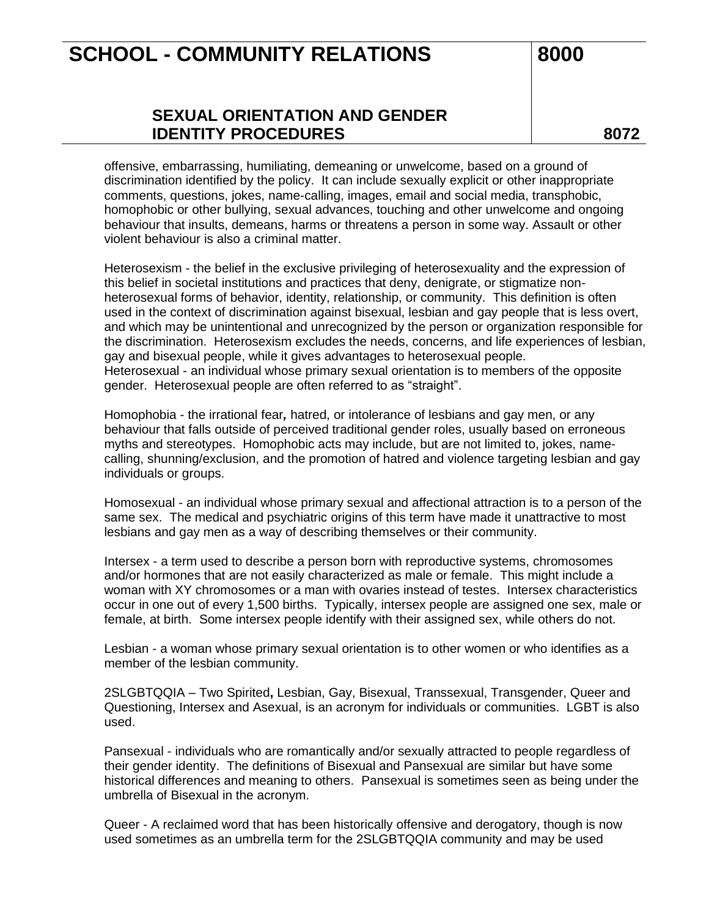## **SEXUAL ORIENTATION AND GENDER IDENTITY PROCEDURES 8072**

offensive, embarrassing, humiliating, demeaning or unwelcome, based on a ground of discrimination identified by the policy. It can include sexually explicit or other inappropriate comments, questions, jokes, name-calling, images, email and social media, transphobic, homophobic or other bullying, sexual advances, touching and other unwelcome and ongoing behaviour that insults, demeans, harms or threatens a person in some way. Assault or other violent behaviour is also a criminal matter.

Heterosexism - the belief in the exclusive privileging of heterosexuality and the expression of this belief in societal institutions and practices that deny, denigrate, or stigmatize nonheterosexual forms of behavior, identity, relationship, or community. This definition is often used in the context of discrimination against bisexual, lesbian and gay people that is less overt, and which may be unintentional and unrecognized by the person or organization responsible for the discrimination. Heterosexism excludes the needs, concerns, and life experiences of lesbian, gay and bisexual people, while it gives advantages to heterosexual people. Heterosexual - an individual whose primary sexual orientation is to members of the opposite gender. Heterosexual people are often referred to as "straight".

Homophobia - the irrational fear*,* hatred, or intolerance of lesbians and gay men, or any behaviour that falls outside of perceived traditional gender roles, usually based on erroneous myths and stereotypes. Homophobic acts may include, but are not limited to, jokes, namecalling, shunning/exclusion, and the promotion of hatred and violence targeting lesbian and gay individuals or groups.

Homosexual - an individual whose primary sexual and affectional attraction is to a person of the same sex. The medical and psychiatric origins of this term have made it unattractive to most lesbians and gay men as a way of describing themselves or their community.

Intersex - a term used to describe a person born with reproductive systems, chromosomes and/or hormones that are not easily characterized as male or female. This might include a woman with XY chromosomes or a man with ovaries instead of testes. Intersex characteristics occur in one out of every 1,500 births. Typically, intersex people are assigned one sex, male or female, at birth. Some intersex people identify with their assigned sex, while others do not.

Lesbian - a woman whose primary sexual orientation is to other women or who identifies as a member of the lesbian community.

2SLGBTQQIA – Two Spirited**,** Lesbian, Gay, Bisexual, Transsexual, Transgender, Queer and Questioning, Intersex and Asexual, is an acronym for individuals or communities. LGBT is also used.

Pansexual - individuals who are romantically and/or sexually attracted to people regardless of their gender identity. The definitions of Bisexual and Pansexual are similar but have some historical differences and meaning to others. Pansexual is sometimes seen as being under the umbrella of Bisexual in the acronym.

Queer - A reclaimed word that has been historically offensive and derogatory, though is now used sometimes as an umbrella term for the 2SLGBTQQIA community and may be used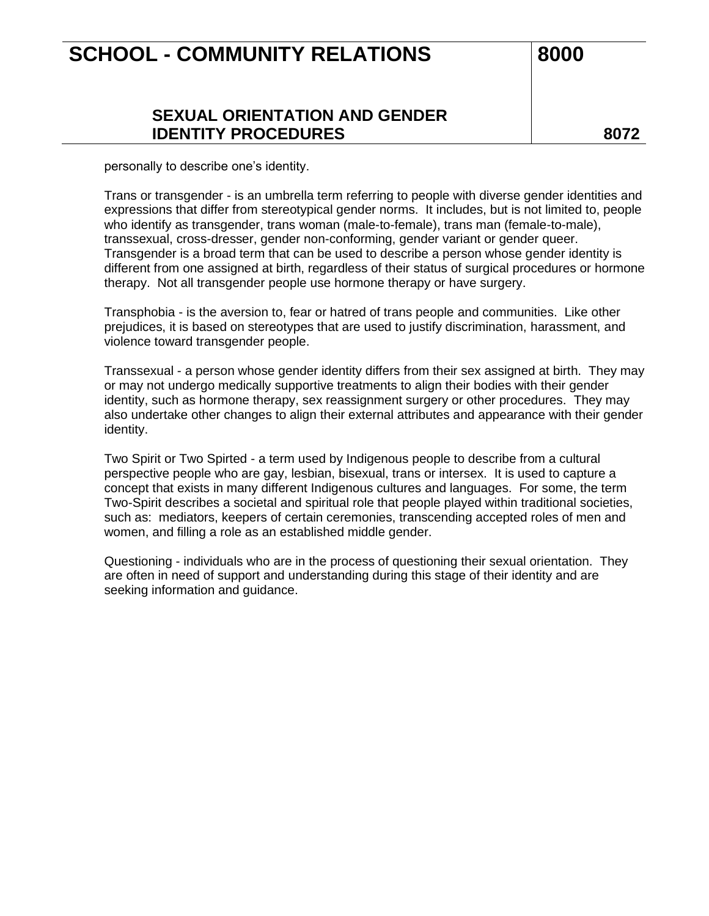### **SEXUAL ORIENTATION AND GENDER IDENTITY PROCEDURES 8072**

personally to describe one's identity.

Trans or transgender - is an umbrella term referring to people with diverse gender identities and expressions that differ from stereotypical gender norms. It includes, but is not limited to, people who identify as transgender, trans woman (male-to-female), trans man (female-to-male), transsexual, cross-dresser, gender non-conforming, gender variant or gender queer. Transgender is a broad term that can be used to describe a person whose gender identity is different from one assigned at birth, regardless of their status of surgical procedures or hormone therapy. Not all transgender people use hormone therapy or have surgery.

Transphobia - is the aversion to, fear or hatred of trans people and communities. Like other prejudices, it is based on stereotypes that are used to justify discrimination, harassment, and violence toward transgender people.

Transsexual - a person whose gender identity differs from their sex assigned at birth. They may or may not undergo medically supportive treatments to align their bodies with their gender identity, such as hormone therapy, sex reassignment surgery or other procedures. They may also undertake other changes to align their external attributes and appearance with their gender identity.

Two Spirit or Two Spirted - a term used by Indigenous people to describe from a cultural perspective people who are gay, lesbian, bisexual, trans or intersex. It is used to capture a concept that exists in many different Indigenous cultures and languages. For some, the term Two-Spirit describes a societal and spiritual role that people played within traditional societies, such as: mediators, keepers of certain ceremonies, transcending accepted roles of men and women, and filling a role as an established middle gender.

Questioning - individuals who are in the process of questioning their sexual orientation. They are often in need of support and understanding during this stage of their identity and are seeking information and guidance.